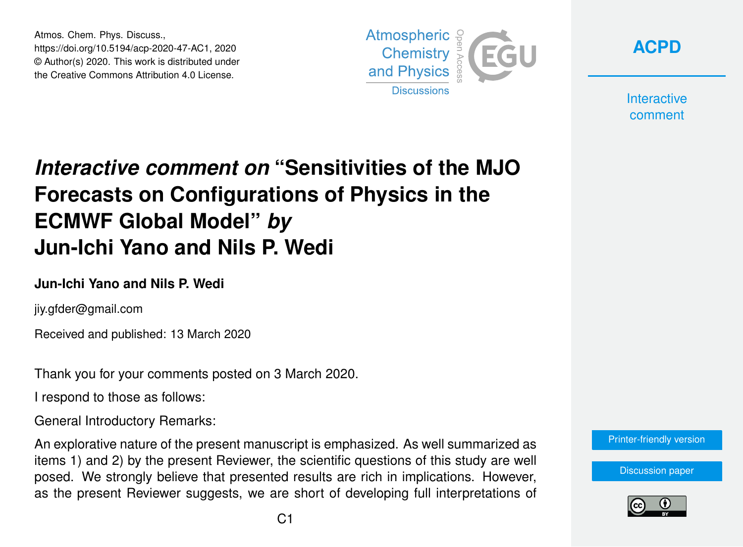Atmos. Chem. Phys. Discuss., https://doi.org/10.5194/acp-2020-47-AC1, 2020 © Author(s) 2020. This work is distributed under the Creative Commons Attribution 4.0 License.



**[ACPD](https://www.atmos-chem-phys-discuss.net/)**

**Interactive** comment

## *Interactive comment on* **"Sensitivities of the MJO Forecasts on Configurations of Physics in the ECMWF Global Model"** *by* **Jun-Ichi Yano and Nils P. Wedi**

## **Jun-Ichi Yano and Nils P. Wedi**

jiy.gfder@gmail.com

Received and published: 13 March 2020

Thank you for your comments posted on 3 March 2020.

I respond to those as follows:

General Introductory Remarks:

An explorative nature of the present manuscript is emphasized. As well summarized as items 1) and 2) by the present Reviewer, the scientific questions of this study are well posed. We strongly believe that presented results are rich in implications. However, as the present Reviewer suggests, we are short of developing full interpretations of [Printer-friendly version](https://www.atmos-chem-phys-discuss.net/acp-2020-47/acp-2020-47-AC1-print.pdf)

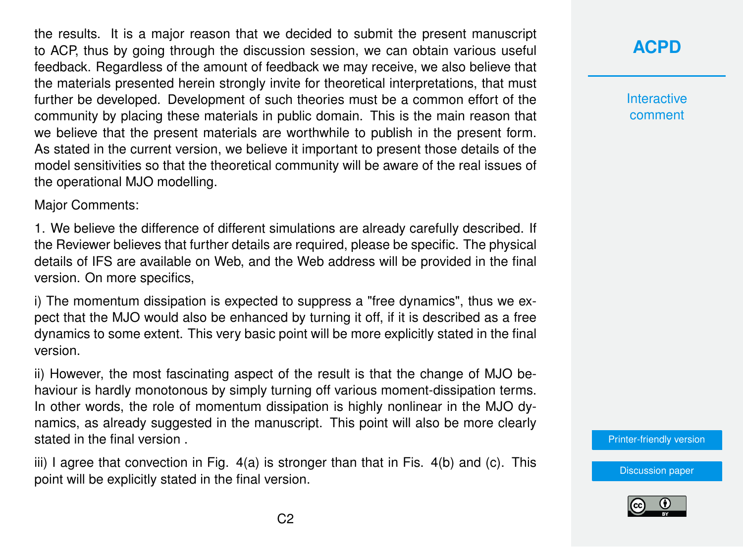the results. It is a major reason that we decided to submit the present manuscript to ACP, thus by going through the discussion session, we can obtain various useful feedback. Regardless of the amount of feedback we may receive, we also believe that the materials presented herein strongly invite for theoretical interpretations, that must further be developed. Development of such theories must be a common effort of the community by placing these materials in public domain. This is the main reason that we believe that the present materials are worthwhile to publish in the present form. As stated in the current version, we believe it important to present those details of the model sensitivities so that the theoretical community will be aware of the real issues of the operational MJO modelling.

Major Comments:

1. We believe the difference of different simulations are already carefully described. If the Reviewer believes that further details are required, please be specific. The physical details of IFS are available on Web, and the Web address will be provided in the final version. On more specifics,

i) The momentum dissipation is expected to suppress a "free dynamics", thus we expect that the MJO would also be enhanced by turning it off, if it is described as a free dynamics to some extent. This very basic point will be more explicitly stated in the final version.

ii) However, the most fascinating aspect of the result is that the change of MJO behaviour is hardly monotonous by simply turning off various moment-dissipation terms. In other words, the role of momentum dissipation is highly nonlinear in the MJO dynamics, as already suggested in the manuscript. This point will also be more clearly stated in the final version .

iii) I agree that convection in Fig. 4(a) is stronger than that in Fis. 4(b) and (c). This point will be explicitly stated in the final version.

**[ACPD](https://www.atmos-chem-phys-discuss.net/)**

**Interactive** comment

[Printer-friendly version](https://www.atmos-chem-phys-discuss.net/acp-2020-47/acp-2020-47-AC1-print.pdf)

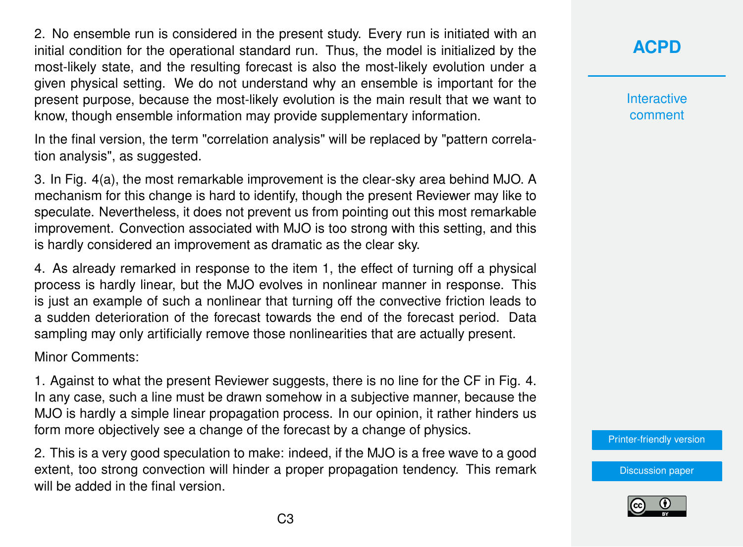2. No ensemble run is considered in the present study. Every run is initiated with an initial condition for the operational standard run. Thus, the model is initialized by the most-likely state, and the resulting forecast is also the most-likely evolution under a given physical setting. We do not understand why an ensemble is important for the present purpose, because the most-likely evolution is the main result that we want to know, though ensemble information may provide supplementary information.

In the final version, the term "correlation analysis" will be replaced by "pattern correlation analysis", as suggested.

3. In Fig. 4(a), the most remarkable improvement is the clear-sky area behind MJO. A mechanism for this change is hard to identify, though the present Reviewer may like to speculate. Nevertheless, it does not prevent us from pointing out this most remarkable improvement. Convection associated with MJO is too strong with this setting, and this is hardly considered an improvement as dramatic as the clear sky.

4. As already remarked in response to the item 1, the effect of turning off a physical process is hardly linear, but the MJO evolves in nonlinear manner in response. This is just an example of such a nonlinear that turning off the convective friction leads to a sudden deterioration of the forecast towards the end of the forecast period. Data sampling may only artificially remove those nonlinearities that are actually present.

Minor Comments:

1. Against to what the present Reviewer suggests, there is no line for the CF in Fig. 4. In any case, such a line must be drawn somehow in a subjective manner, because the MJO is hardly a simple linear propagation process. In our opinion, it rather hinders us form more objectively see a change of the forecast by a change of physics.

2. This is a very good speculation to make: indeed, if the MJO is a free wave to a good extent, too strong convection will hinder a proper propagation tendency. This remark will be added in the final version.

**[ACPD](https://www.atmos-chem-phys-discuss.net/)**

**Interactive** comment

[Printer-friendly version](https://www.atmos-chem-phys-discuss.net/acp-2020-47/acp-2020-47-AC1-print.pdf)